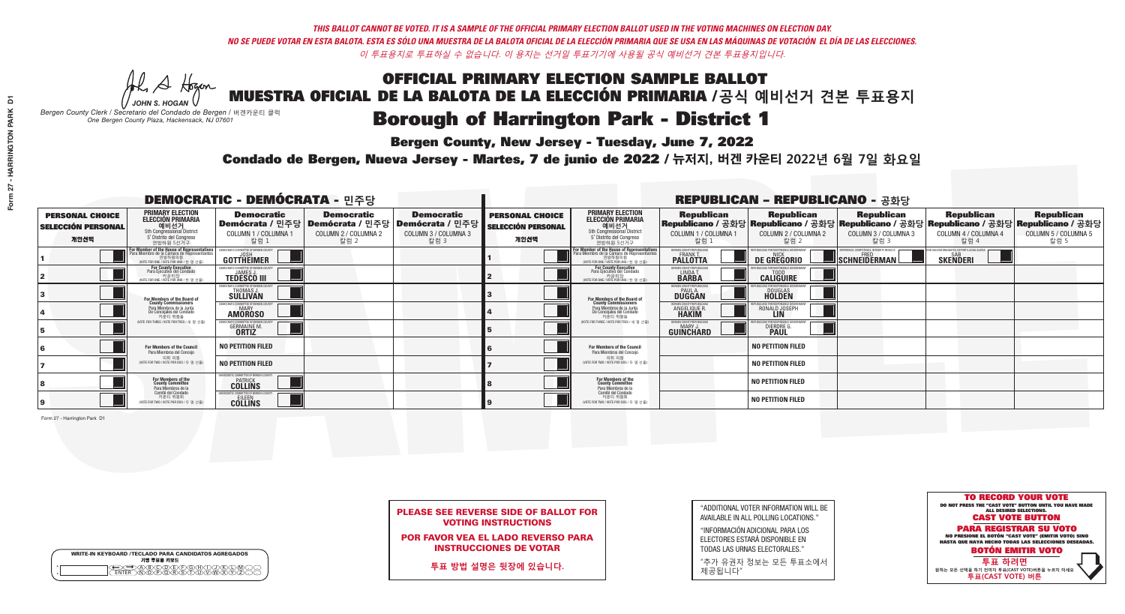# OFFICIAL PRIMARY ELECTION SAMPLE BALLOT MUESTRA OFICIAL DE LA BALOTA DE LA ELECCIÓN PRIMARIA /**공식 예비선거 견본 투표용지 Borough of Harrington Park - District 1**

A Hogen

**Bergen County, New Jersey - Tuesday, June 7, 2022** 

| <b>WRITE-IN KEYBOARD /TECLADO PARA CANDIDATOS AGREGADOS</b><br>기명 투표용 키보드 |  |
|---------------------------------------------------------------------------|--|
| VBCODE/F/G/F/D/<br><b>DÕÃÃÃÃ</b>                                          |  |

*JOHN S. HOGAN Bergen County Clerk / Secretario del Condado de Bergen /* 버겐카운티 클럭 *One Bergen County Plaza, Hackensack, NJ 07601*



PLEASE SEE REVERSE SIDE OF BALLOT FOR VOTING INSTRUCTIONS

POR FAVOR VEA EL LADO REVERSO PARA INSTRUCCIONES DE VOTAR

**투표 방법 설명은 뒷장에 있습니다.**

| "ADDITIONAL VOTER INFORMATION WILL BE |
|---------------------------------------|
| AVAILABLE IN ALL POLLING LOCATIONS."  |

"INFORMACIÓN ADICIONAL PARA LOS ELECTORES ESTARÁ DISPONIBLE EN TODAS LAS URNAS ELECTORALES."

"추가 유권자 정보는 모든 투표소에서 제공됩니다"

Condado de Bergen, Nueva Jersey - Martes, 7 de junio de 2022 / 뉴저지, 버겐 카운티 2022년 6월 7일 화요일 *One Bergen County Plaza, Hackensack, NJ 07601*

Form 27 - Harrington Park D1

| <b>DEMOCRATIC - DEMÓCRATA - 민주당</b>                         |                                                                                                                                    |                                                                       |                                                   |                                                                                                        |                                                             |                                                                                                                                             |                                                            | <b>REPUBLICAN - REPUBLICANO - 공화당</b>             |                                                                                                                                                |                                                           |                                                   |
|-------------------------------------------------------------|------------------------------------------------------------------------------------------------------------------------------------|-----------------------------------------------------------------------|---------------------------------------------------|--------------------------------------------------------------------------------------------------------|-------------------------------------------------------------|---------------------------------------------------------------------------------------------------------------------------------------------|------------------------------------------------------------|---------------------------------------------------|------------------------------------------------------------------------------------------------------------------------------------------------|-----------------------------------------------------------|---------------------------------------------------|
| <b>PERSONAL CHOICE</b><br><b>SELECCIÓN PERSONAL</b><br>개인선택 | <b>PRIMARY ELECTION</b><br><b>ELECCIÓN PRIMARIA</b><br>예비선거<br>5th Congressional District<br>5° Distrito del Congreso<br>연방하원 5선거구 | <b>Democratic</b><br>COLUMN 1 / COLUMNA 1<br>칼럼 1                     | <b>Democratic</b><br>COLUMN 2 / COLUMNA 2<br>칼럼 2 | <b>Democratic</b><br>│Demócrata / 민주당│Demócrata / 민주당│Demócrata / 민주당│<br>COLUMN 3 / COLUMNA 3<br>칼럼 3 | <b>PERSONAL CHOICE</b><br><b>SELECCIÓN PERSONAL</b><br>개인선택 | <b>PRIMARY ELECTION</b><br>ELECCIÓN PRIMARIA<br>5th Congressional District<br>5° Distrito del Congreso<br>연방하원 5선거구                         | <b>Republican</b><br>COLUMN 1 / COLUMNA 1<br>칼럼            | <b>Republican</b><br>COLUMN 2 / COLUMNA 2<br>칼럼 2 | <b>Republican</b><br>Republicano / 공화당 Republicano / 공화당 Republicano / 공화당 Republicano / 공화당 Republicano / 공화당<br>COLUMN 3 / COLUMNA 3<br>칼럼 3 | <b>Republican</b><br>COLUMN 4 / COLUMNA 4<br>칼럼 4         | <b>Republican</b><br>COLUMN 5 / COLUMNA 5<br>칼럼 5 |
|                                                             | For Member of the House of Representatives<br>Para Miembro de la Cámara de Representantes                                          | (IFMOCRATIC COMMITTEE OF BERGEN O<br><b>GOTTHEIMER</b>                |                                                   |                                                                                                        |                                                             | For Member of the House of Representatives<br>Para Miembro de la Cámara de Representantes<br>연방하원의원<br>(VOTE FOR ONE / VOTE POR UNO / 한명선출) | BERGEN COUNTY REPUBLICAN<br><b>PALLOTTA</b>                | DE GREGORIO                                       | 'ERIENCE, COMPETENCE, INTEGRITY, RESULT<br>SCHNEIDERMAN                                                                                        | VACCINE MANDATES, DEPORT ILLEGAL ALIEN<br><b>SKENDERI</b> |                                                   |
|                                                             | For County Executive<br>Para Ejecutivo del Condado<br>가운티장<br>(VOTE FOR ONE / VOTE POR UNO / 한 명 선출)                               | FMOCRATIC COMMITTEE OF BERGEN COUNTY<br><b>TEDESCO III</b>            |                                                   |                                                                                                        |                                                             | For County Executive<br>Para Ejecutivo del Condado<br>가운티장<br>(VOTE FOR ONE / VOTE POR UNO / 한 명 선출)                                        | BERGEN COUNTY REPUBLICAN<br>LINDA T.                       | <b>CALIGUIRE</b>                                  |                                                                                                                                                |                                                           |                                                   |
|                                                             | For Members of the Board of<br>County Commissioners                                                                                | <b>EMOCRATIC COMMITTEE OF BEBGEN COUNT</b><br>THOMAS J.               |                                                   |                                                                                                        |                                                             | For Members of the Board of<br>County Commissioners                                                                                         | ERGEN COUNTY REPUBLICAN<br><b>PAUL A.</b><br><b>DUGGAN</b> | <b>DOUGLAS</b>                                    |                                                                                                                                                |                                                           |                                                   |
|                                                             | Para Miembros de la Junta<br>De Concejales del Condado<br>카우티 위원들                                                                  | <b>EMOCRATIC COMMITTEE OF BERGEN COUNTY</b><br>MARY<br><b>AMÖROSO</b> |                                                   |                                                                                                        |                                                             | Para Miembros de la Junta<br>De Concejales del Condado<br>카운티 위원들                                                                           | <b>FRGEN COUNTY REPUBLICAN</b><br>ANGELIQUE R              | RONALD JOSEPH                                     |                                                                                                                                                |                                                           |                                                   |
|                                                             | (VOTE FOR THREE / VOTE POR TRES / 세 명 선출)                                                                                          | <b>GERMAINE M.</b>                                                    |                                                   |                                                                                                        |                                                             | (VOTE FOR THREE / VOTE POR TRES / 세 명 선출)                                                                                                   | ERGEN COUNTY REPUBLICANS<br>MARY J<br>GUINCHARD            | <b>DIERDRE</b> G                                  |                                                                                                                                                |                                                           |                                                   |
|                                                             | For Members of the Council<br>Para Miembros del Conceio                                                                            | <b>NO PETITION FILED</b>                                              |                                                   |                                                                                                        |                                                             | <b>For Members of the Council</b><br>Para Miembros del Conceio                                                                              |                                                            | <b>NO PETITION FILED</b>                          |                                                                                                                                                |                                                           |                                                   |
|                                                             | 의회 의원<br>(VOTE FOR TWO / VOTE POR DOS / 두 명 선)                                                                                     | <b>NO PETITION FILED</b>                                              |                                                   |                                                                                                        |                                                             | 의회 의원<br>NOTE FOR TWO / VOTE POR DOS / 두 명 선출)                                                                                              |                                                            | <b>NO PETITION FILED</b>                          |                                                                                                                                                |                                                           |                                                   |
|                                                             | For Members of the<br>County Committee<br>Para Miembros de la                                                                      | MOCRATIC COMMITTEE OF BERGEN COUNTY<br><b>COLLINS</b>                 |                                                   |                                                                                                        |                                                             | For Members of the<br>County Committee<br>Para Miembros de la<br>Comité del Condado                                                         |                                                            | <b>NO PETITION FILED</b>                          |                                                                                                                                                |                                                           |                                                   |
|                                                             | Comité del Condado<br>카운티 위원회<br>(VOTE FOR TWO / VOTE POR DOS / 두 명 선출)                                                            | AOCRATIC COMMITTEE OF BERGEN COUN<br><b>COLLINS</b>                   |                                                   |                                                                                                        |                                                             | 카운티 위원회<br>(VOTE FOR TWO / VOTE POR DOS / 두 명 선출)                                                                                           |                                                            | <b>NO PETITION FILED</b>                          |                                                                                                                                                |                                                           |                                                   |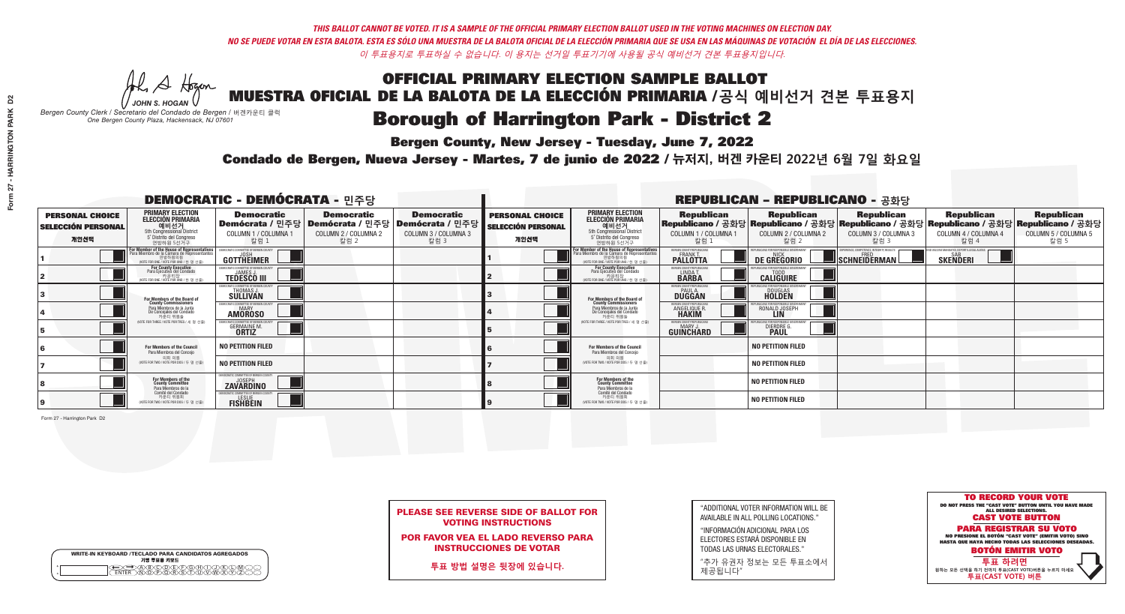# OFFICIAL PRIMARY ELECTION SAMPLE BALLOT MUESTRA OFICIAL DE LA BALOTA DE LA ELECCIÓN PRIMARIA /**공식 예비선거 견본 투표용지 Borough of Harrington Park - District 2**

**Bergen County, New Jersey - Tuesday, June 7, 2022** 

A Hogen *JOHN S. HOGAN*

| <b>WRITE-IN KEYBOARD /TECLADO PARA CANDIDATOS AGREGADOS</b><br>기명 투표용 키보드 |  |
|---------------------------------------------------------------------------|--|
| )@®©®®®®®<br>}M@®@®\${T{I}W                                               |  |

## *Bergen County Clerk / Secretario del Condado de Bergen /* 버겐카운티 클럭 *One Bergen County Plaza, Hackensack, NJ 07601*



| <b>PLEASE SEE REVERSE SIDE OF BALLOT FOR</b> |  |
|----------------------------------------------|--|
| <b>VOTING INSTRUCTIONS</b>                   |  |

POR FAVOR VEA EL LADO REVERSO PARA INSTRUCCIONES DE VOTAR

**투표 방법 설명은 뒷장에 있습니다.**

"ADDITIONAL VOTER INFORMATION WILL BE AVAILABLE IN ALL POLLING LOCATIONS."

"INFORMACIÓN ADICIONAL PARA LOS ELECTORES ESTARÁ DISPONIBLE EN TODAS LAS URNAS ELECTORALES."

"추가 유권자 정보는 모든 투표소에서 제공됩니다"

Condado de Bergen, Nueva Jersey - Martes, 7 de junio de 2022 / 뉴저지, 버겐 카운티 2022년 6월 7일 화요일 *One Bergen County Plaza, Hackensack, NJ 07601*

Form 27 - Harrington Park D2

| <b>DEMOCRATIC - DEMÓCRATA - 민주당</b>                         |                                                                                                                                               |                                                                                  |                                                   |                                                                                                        |                                                             |                                                                                                                                   | <b>REPUBLICAN - REPUBLICANO - 공화당</b>                      |                                                                                                                                                |                                                    |                                                           |                                                   |
|-------------------------------------------------------------|-----------------------------------------------------------------------------------------------------------------------------------------------|----------------------------------------------------------------------------------|---------------------------------------------------|--------------------------------------------------------------------------------------------------------|-------------------------------------------------------------|-----------------------------------------------------------------------------------------------------------------------------------|------------------------------------------------------------|------------------------------------------------------------------------------------------------------------------------------------------------|----------------------------------------------------|-----------------------------------------------------------|---------------------------------------------------|
| <b>PERSONAL CHOICE</b><br><b>SELECCIÓN PERSONAL</b><br>개인선택 | <b>PRIMARY ELECTION</b><br><b>ELECCIÓN PRIMARIA</b><br>예비선거<br>5th Congressional District<br>5° Distrito del Congreso<br>연방하원 5선거구            | <b>Democratic</b><br>COLUMN 1 / COLUMNA 1<br>칼럼 1                                | <b>Democratic</b><br>COLUMN 2 / COLUMNA 2<br>칼럼 2 | <b>Democratic</b><br>│Demócrata / 민주당│Demócrata / 민주당│Demócrata / 민주당│<br>COLUMN 3 / COLUMNA 3<br>칼럼 3 | <b>PERSONAL CHOICE</b><br><b>SELECCIÓN PERSONAL</b><br>개인선택 | <b>PRIMARY ELECTION</b><br>ELECCIÓN PRIMARIA<br>5th Congressional District<br>5° Distrito del Congreso<br>연방하원 5선거구               | <b>Republican</b><br>COLUMN 1 / COLUMNA 1<br>칼럼            | <b>Republican</b><br>Republicano / 공화당 Republicano / 공화당 Republicano / 공화당 Republicano / 공화당 Republicano / 공화당<br>COLUMN 2 / COLUMNA 2<br>칼럼 2 | <b>Republican</b><br>COLUMN 3 / COLUMNA 3<br>칼럼 3  | <b>Republican</b><br>COLUMN 4 / COLUMNA 4<br>칼럼 4         | <b>Republican</b><br>COLUMN 5 / COLUMNA 5<br>칼럼 5 |
|                                                             | For Member of the House of Representatives<br>Para Miembro de la Cámara de Representantes<br>연방하원의원<br>(VOTE FOR ONE / VOTE POR UNO / 한 명 선출) | EMOCRATIC COMMITTEE OF BERGEN C<br>GOTTHEIMER                                    |                                                   |                                                                                                        |                                                             | For Member of the House of Representatives<br>Para Miembro de la Cámara de Representantes<br>WOTE FOR ONE / VOTE POR UNO / 한 명 선출 | ERGEN COUNTY REPUBLICAN<br><b>PALLOTTA</b>                 | DE GREGORIO                                                                                                                                    | $\blacksquare$ Schneiderman $\mathbin{\mathsf{L}}$ | VACCINE MANDATES, DEPORT ILLEGAL ALIEN<br><b>SKENDERI</b> |                                                   |
|                                                             | For County Executive<br>Para Ejecutivo del Condado<br>가운티장<br>(VOTE FOR ONE / VOTE POR UNO / 한 명 선출)                                          | FMOCRATIC COMMITTEE OF BERGEN COUNTY<br><b>TEDESCO III</b>                       |                                                   |                                                                                                        |                                                             | For County Executive<br>Para Ejecutivo del Condado<br>. 카운티장<br>(VOTE FOR ONE / VOTE POR UNO / 한 명 선출                             | BERGEN COUNTY REPUBLICAN<br>LINDA T.                       | <b>CALIGUIRE</b>                                                                                                                               |                                                    |                                                           |                                                   |
|                                                             | For Members of the Board of<br>County Commissioners                                                                                           | EMOCRATIC COMMITTEE OF BERGEN COUNTY<br>THOMAS J.                                |                                                   |                                                                                                        |                                                             | For Members of the Board of<br>County Commissioners                                                                               | ERGEN COUNTY REPUBLICAN<br><b>PAUL A.</b><br><b>DUGGAN</b> | <b>DOUGLAS</b><br><b>HOLDEN</b>                                                                                                                |                                                    |                                                           |                                                   |
|                                                             | Para Miembros de la Junta<br>De Concejales del Condado<br>카우티 위원들                                                                             | MOCRATIC COMMITTEE OF BERGEN COUNTY<br><b>MARY</b><br><b>AMOROSO</b>             |                                                   |                                                                                                        |                                                             | Para Miembros de la Junta<br>De Concejales del Condado<br>카우티 위원들                                                                 | <b>FRGEN COUNTY REPUBLICAN</b><br>ANGELIQUE R              | RONALD JOSEPH<br><b>LIN</b>                                                                                                                    |                                                    |                                                           |                                                   |
|                                                             | NOTE FOR THREE / VOTE POR TRES / 세 명 선출)                                                                                                      | RATIC COMMITTEE OF BERGEN COUNT<br><b>GERMAINE M.</b><br><b>ORTIZ</b>            |                                                   |                                                                                                        |                                                             | NOTE FOR THREE / VOTE POR TRES / 세 명 선출)                                                                                          | ERGEN COUNTY REPUBLICANS<br>MARY J<br>GUINCHARD            | <b>DIERDRE G</b><br><b>PAUL</b>                                                                                                                |                                                    |                                                           |                                                   |
|                                                             | <b>For Members of the Council</b><br>Para Miembros del Conceio                                                                                | <b>NO PETITION FILED</b>                                                         |                                                   |                                                                                                        |                                                             | <b>For Members of the Council</b><br>Para Miembros del Conceio                                                                    |                                                            | <b>NO PETITION FILED</b>                                                                                                                       |                                                    |                                                           |                                                   |
|                                                             | 의회 의원<br>(VOTE FOR TWO / VOTE POR DOS / 두 명 선)                                                                                                | <b>NO PETITION FILED</b>                                                         |                                                   |                                                                                                        |                                                             | 의회 의원<br>WOTE FOR TWO / VOTE POR DOS / 두 명 선출)                                                                                    |                                                            | <b>NO PETITION FILED</b>                                                                                                                       |                                                    |                                                           |                                                   |
|                                                             | For Members of the<br>County Committee<br>Para Miembros de la                                                                                 | <b>EMOCRATIC COMMITTEE OF BERGEN COUNTY</b><br><b>JOSEPH</b><br><b>ZAVÄRDINO</b> |                                                   |                                                                                                        |                                                             | For Members of the<br>County Committee<br>Para Miembros de la<br>Comité del Condado                                               |                                                            | <b>NO PETITION FILED</b>                                                                                                                       |                                                    |                                                           |                                                   |
|                                                             | Comité del Condado<br>카운티 위원회<br>(VOTE FOR TWO / VOTE POR DOS / 두 명 선출)                                                                       | EMOCRATIC COMMITTEE OF BERGEN COUNTY<br><b>FISHBEIN</b>                          |                                                   |                                                                                                        |                                                             | 카운티 위원회<br>(VOTE FOR TWO / VOTE POR DOS / 두 명 선출)                                                                                 |                                                            | <b>NO PETITION FILED</b>                                                                                                                       |                                                    |                                                           |                                                   |